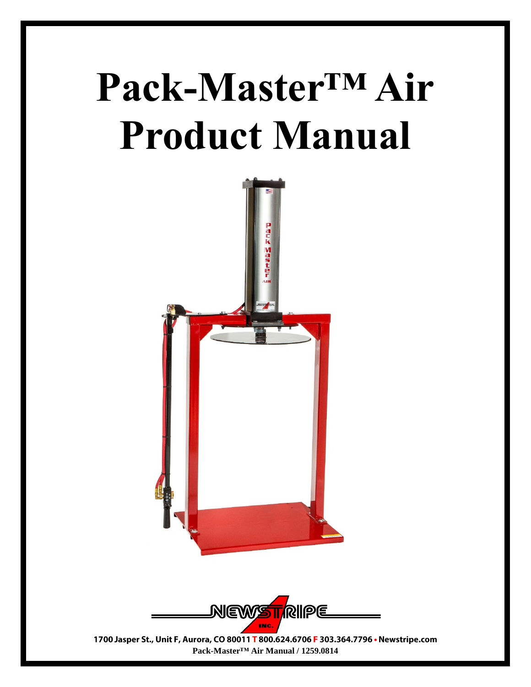# **Pack-Master™ Air Product Manual**





1700 Jasper St., Unit F, Aurora, CO 80011 T 800.624.6706 F 303.364.7796 · Newstripe.com **Pack-Master™ Air Manual / 1259.0814**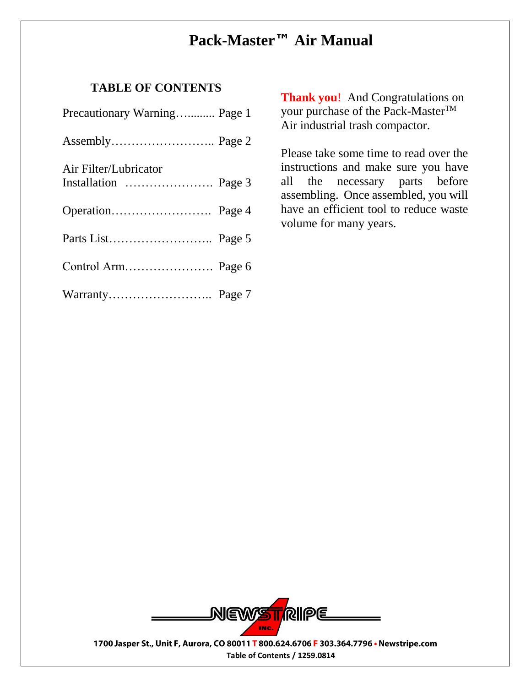## **Pack-Master™ Air Manual**

## **TABLE OF CONTENTS**

| Precautionary Warning Page 1 |  |
|------------------------------|--|
|                              |  |
| Air Filter/Lubricator        |  |
|                              |  |
|                              |  |
|                              |  |
|                              |  |

**Thank you**! And Congratulations on your purchase of the Pack-MasterTM Air industrial trash compactor.

Please take some time to read over the instructions and make sure you have all the necessary parts before assembling. Once assembled, you will have an efficient tool to reduce waste volume for many years.

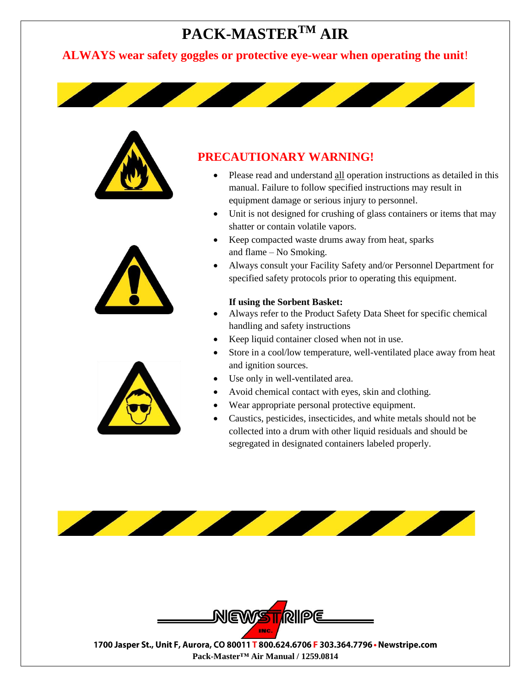## **ALWAYS wear safety goggles or protective eye-wear when operating the unit**!







## **PRECAUTIONARY WARNING!**

- Please read and understand all operation instructions as detailed in this manual. Failure to follow specified instructions may result in equipment damage or serious injury to personnel.
- Unit is not designed for crushing of glass containers or items that may shatter or contain volatile vapors.
- Keep compacted waste drums away from heat, sparks and flame – No Smoking.
- Always consult your Facility Safety and/or Personnel Department for specified safety protocols prior to operating this equipment.

#### **If using the Sorbent Basket:**

- Always refer to the Product Safety Data Sheet for specific chemical handling and safety instructions
- Keep liquid container closed when not in use.
- Store in a cool/low temperature, well-ventilated place away from heat and ignition sources.
- Use only in well-ventilated area.
- Avoid chemical contact with eyes, skin and clothing.
- Wear appropriate personal protective equipment.
- Caustics, pesticides, insecticides, and white metals should not be collected into a drum with other liquid residuals and should be segregated in designated containers labeled properly.





1700 Jasper St., Unit F, Aurora, CO 80011 T 800.624.6706 F 303.364.7796 • Newstripe.com **Pack-Master™ Air Manual / 1259.0814**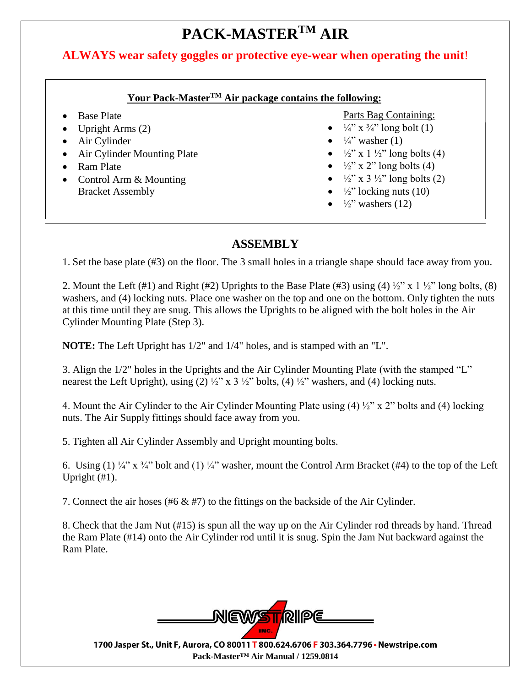## **ALWAYS wear safety goggles or protective eye-wear when operating the unit**!

#### **Your Pack-MasterTM Air package contains the following:**

- Base Plate
- Upright Arms (2)
- Air Cylinder
- Air Cylinder Mounting Plate
- Ram Plate
- Control Arm & Mounting Bracket Assembly

Parts Bag Containing:

- $\frac{1}{4}$ " x  $\frac{3}{4}$ " long bolt (1)
- $\frac{1}{4}$ " washer (1)
- $\frac{1}{2}$ " x 1  $\frac{1}{2}$ " long bolts (4)
- $\bullet$   $\frac{1}{2}$ " x 2" long bolts (4)
- $\frac{1}{2}$ " x 3  $\frac{1}{2}$ " long bolts (2)
- $\bullet$   $\frac{1}{2}$ " locking nuts (10)
- $\bullet$   $\frac{1}{2}$ " washers (12)

## **ASSEMBLY**

1. Set the base plate (#3) on the floor. The 3 small holes in a triangle shape should face away from you.

2. Mount the Left (#1) and Right (#2) Uprights to the Base Plate (#3) using (4)  $\frac{1}{2}$ " x 1  $\frac{1}{2}$ " long bolts, (8) washers, and (4) locking nuts. Place one washer on the top and one on the bottom. Only tighten the nuts at this time until they are snug. This allows the Uprights to be aligned with the bolt holes in the Air Cylinder Mounting Plate (Step 3).

**NOTE:** The Left Upright has 1/2" and 1/4" holes, and is stamped with an "L".

3. Align the 1/2" holes in the Uprights and the Air Cylinder Mounting Plate (with the stamped "L" nearest the Left Upright), using (2)  $\frac{1}{2}$ " x 3  $\frac{1}{2}$ " bolts, (4)  $\frac{1}{2}$ " washers, and (4) locking nuts.

4. Mount the Air Cylinder to the Air Cylinder Mounting Plate using (4) ½" x 2" bolts and (4) locking nuts. The Air Supply fittings should face away from you.

5. Tighten all Air Cylinder Assembly and Upright mounting bolts.

6. Using (1)  $\frac{1}{4}$ " x  $\frac{3}{4}$ " bolt and (1)  $\frac{1}{4}$ " washer, mount the Control Arm Bracket (#4) to the top of the Left Upright (#1).

7. Connect the air hoses (#6 & #7) to the fittings on the backside of the Air Cylinder.

8. Check that the Jam Nut (#15) is spun all the way up on the Air Cylinder rod threads by hand. Thread the Ram Plate (#14) onto the Air Cylinder rod until it is snug. Spin the Jam Nut backward against the Ram Plate.



1700 Jasper St., Unit F, Aurora, CO 80011 T 800.624.6706 F 303.364.7796 • Newstripe.com **Pack-Master™ Air Manual / 1259.0814**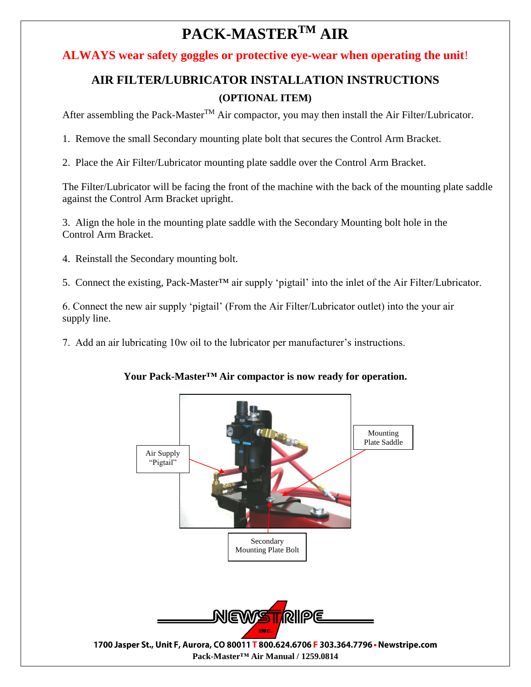**ALWAYS wear safety goggles or protective eye-wear when operating the unit**!

## **AIR FILTER/LUBRICATOR INSTALLATION INSTRUCTIONS (OPTIONAL ITEM)**

After assembling the Pack-Master<sup>TM</sup> Air compactor, you may then install the Air Filter/Lubricator.

1. Remove the small Secondary mounting plate bolt that secures the Control Arm Bracket.

2. Place the Air Filter/Lubricator mounting plate saddle over the Control Arm Bracket.

The Filter/Lubricator will be facing the front of the machine with the back of the mounting plate saddle against the Control Arm Bracket upright.

3. Align the hole in the mounting plate saddle with the Secondary Mounting bolt hole in the Control Arm Bracket.

4. Reinstall the Secondary mounting bolt.

5. Connect the existing, Pack-Master<sup>™</sup> air supply 'pigtail' into the inlet of the Air Filter/Lubricator.

6. Connect the new air supply 'pigtail' (From the Air Filter/Lubricator outlet) into the your air supply line.

7. Add an air lubricating 10w oil to the lubricator per manufacturer's instructions.

**Your Pack-Master™ Air compactor is now ready for operation.**

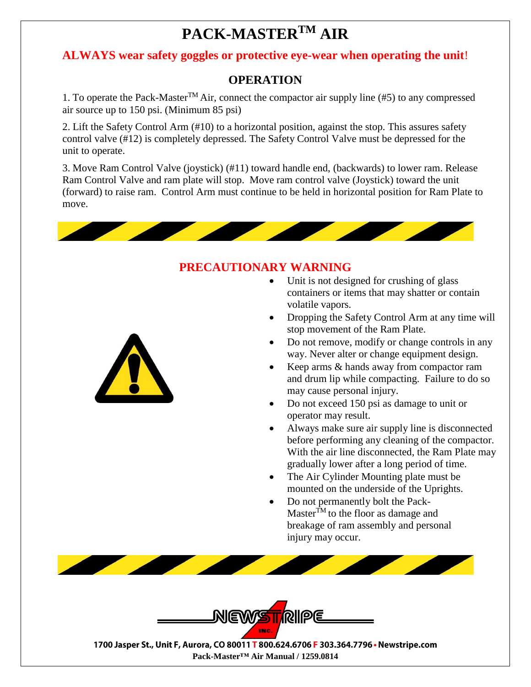## **ALWAYS wear safety goggles or protective eye-wear when operating the unit**!

## **OPERATION**

1. To operate the Pack-Master<sup>TM</sup> Air, connect the compactor air supply line (#5) to any compressed air source up to 150 psi. (Minimum 85 psi)

2. Lift the Safety Control Arm (#10) to a horizontal position, against the stop. This assures safety control valve (#12) is completely depressed. The Safety Control Valve must be depressed for the unit to operate.

3. Move Ram Control Valve (joystick) (#11) toward handle end, (backwards) to lower ram. Release Ram Control Valve and ram plate will stop. Move ram control valve (Joystick) toward the unit (forward) to raise ram. Control Arm must continue to be held in horizontal position for Ram Plate to move.



## **PRECAUTIONARY WARNING**



- Unit is not designed for crushing of glass containers or items that may shatter or contain volatile vapors.
- Dropping the Safety Control Arm at any time will stop movement of the Ram Plate.
- Do not remove, modify or change controls in any way. Never alter or change equipment design.
- Keep arms & hands away from compactor ram and drum lip while compacting. Failure to do so may cause personal injury.
- Do not exceed 150 psi as damage to unit or operator may result.
- Always make sure air supply line is disconnected before performing any cleaning of the compactor. With the air line disconnected, the Ram Plate may gradually lower after a long period of time.
- The Air Cylinder Mounting plate must be mounted on the underside of the Uprights.
- Do not permanently bolt the Pack-Master $T<sup>TM</sup>$  to the floor as damage and breakage of ram assembly and personal injury may occur.



1700 Jasper St., Unit F, Aurora, CO 80011 T 800.624.6706 F 303.364.7796 • Newstripe.com **Pack-Master™ Air Manual / 1259.0814**

**RIPE**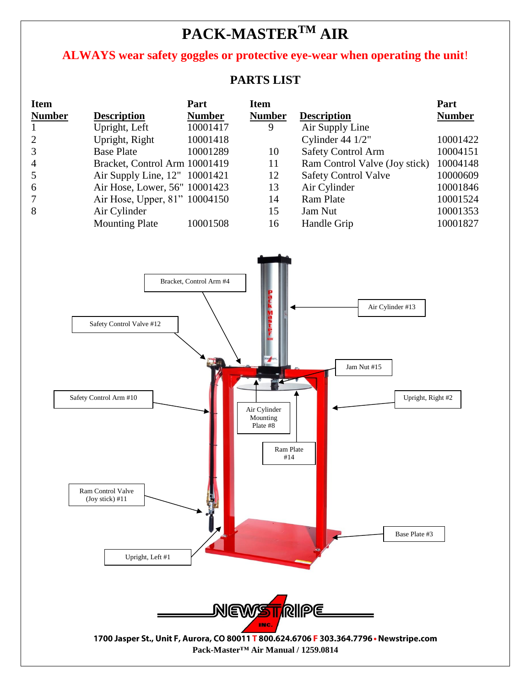## **ALWAYS wear safety goggles or protective eye-wear when operating the unit**!

## **PARTS LIST**

| <b>Item</b>    |                               | Part          | <b>Item</b>   |                               | Part          |
|----------------|-------------------------------|---------------|---------------|-------------------------------|---------------|
| <b>Number</b>  | <b>Description</b>            | <b>Number</b> | <b>Number</b> | <b>Description</b>            | <b>Number</b> |
|                | Upright, Left                 | 10001417      | 9             | Air Supply Line               |               |
| 2              | Upright, Right                | 10001418      |               | Cylinder $44 \frac{1}{2}$ "   | 10001422      |
| 3              | <b>Base Plate</b>             | 10001289      | 10            | <b>Safety Control Arm</b>     | 10004151      |
| $\overline{4}$ | Bracket, Control Arm 10001419 |               | 11            | Ram Control Valve (Joy stick) | 10004148      |
| $\overline{5}$ | Air Supply Line, 12" 10001421 |               | 12            | <b>Safety Control Valve</b>   | 10000609      |
| 6              | Air Hose, Lower, 56" 10001423 |               | 13            | Air Cylinder                  | 10001846      |
| $\overline{7}$ | Air Hose, Upper, 81" 10004150 |               | 14            | <b>Ram Plate</b>              | 10001524      |
| 8              | Air Cylinder                  |               | 15            | Jam Nut                       | 10001353      |
|                | <b>Mounting Plate</b>         | 10001508      | 16            | Handle Grip                   | 10001827      |

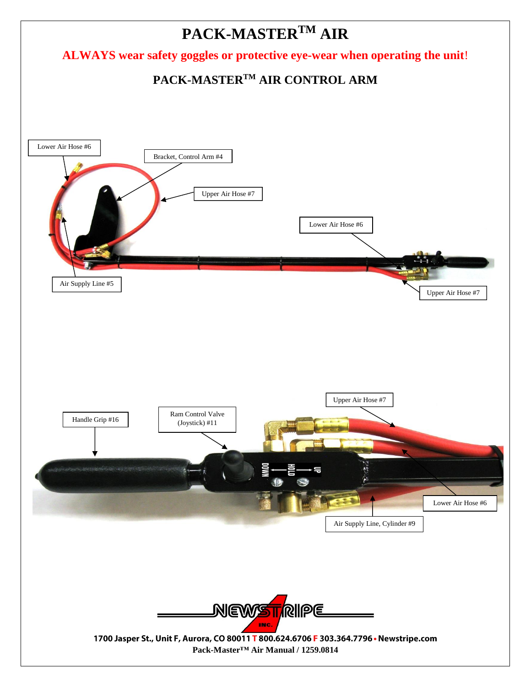